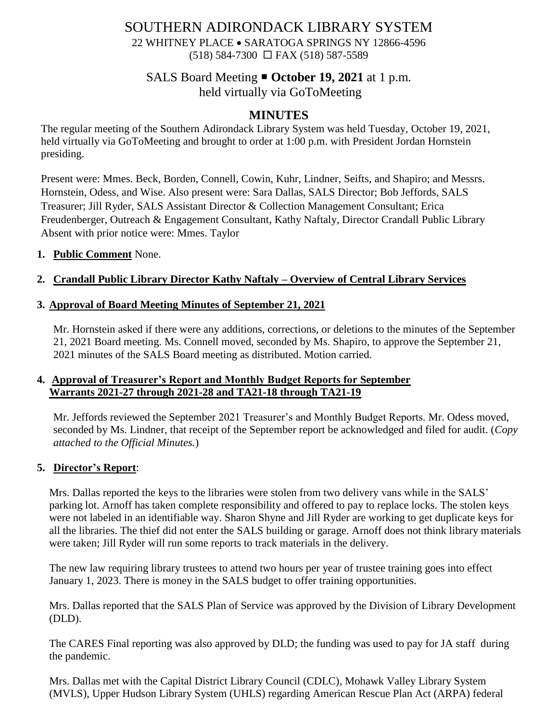# SOUTHERN ADIRONDACK LIBRARY SYSTEM

22 WHITNEY PLACE • SARATOGA SPRINGS NY 12866-4596 (518) 584-7300 FAX (518) 587-5589

## SALS Board Meeting **October 19, 2021** at 1 p.m.

held virtually via GoToMeeting

## **MINUTES**

The regular meeting of the Southern Adirondack Library System was held Tuesday, October 19, 2021, held virtually via GoToMeeting and brought to order at 1:00 p.m. with President Jordan Hornstein presiding.

Present were: Mmes. Beck, Borden, Connell, Cowin, Kuhr, Lindner, Seifts, and Shapiro; and Messrs. Hornstein, Odess, and Wise. Also present were: Sara Dallas, SALS Director; Bob Jeffords, SALS Treasurer; Jill Ryder, SALS Assistant Director & Collection Management Consultant; Erica Freudenberger, Outreach & Engagement Consultant, Kathy Naftaly, Director Crandall Public Library Absent with prior notice were: Mmes. Taylor

#### **1. Public Comment** None.

## **2. Crandall Public Library Director Kathy Naftaly – Overview of Central Library Services**

## **3. Approval of Board Meeting Minutes of September 21, 2021**

Mr. Hornstein asked if there were any additions, corrections, or deletions to the minutes of the September 21, 2021 Board meeting. Ms. Connell moved, seconded by Ms. Shapiro, to approve the September 21, 2021 minutes of the SALS Board meeting as distributed. Motion carried.

#### **4. Approval of Treasurer's Report and Monthly Budget Reports for September Warrants 2021-27 through 2021-28 and TA21-18 through TA21-19**

Mr. Jeffords reviewed the September 2021 Treasurer's and Monthly Budget Reports. Mr. Odess moved, seconded by Ms. Lindner, that receipt of the September report be acknowledged and filed for audit. (*Copy attached to the Official Minutes.*)

#### **5. Director's Report**:

Mrs. Dallas reported the keys to the libraries were stolen from two delivery vans while in the SALS' parking lot. Arnoff has taken complete responsibility and offered to pay to replace locks. The stolen keys were not labeled in an identifiable way. Sharon Shyne and Jill Ryder are working to get duplicate keys for all the libraries. The thief did not enter the SALS building or garage. Arnoff does not think library materials were taken; Jill Ryder will run some reports to track materials in the delivery.

The new law requiring library trustees to attend two hours per year of trustee training goes into effect January 1, 2023. There is money in the SALS budget to offer training opportunities.

Mrs. Dallas reported that the SALS Plan of Service was approved by the Division of Library Development (DLD).

The CARES Final reporting was also approved by DLD; the funding was used to pay for JA staff during the pandemic.

Mrs. Dallas met with the Capital District Library Council (CDLC), Mohawk Valley Library System (MVLS), Upper Hudson Library System (UHLS) regarding American Rescue Plan Act (ARPA) federal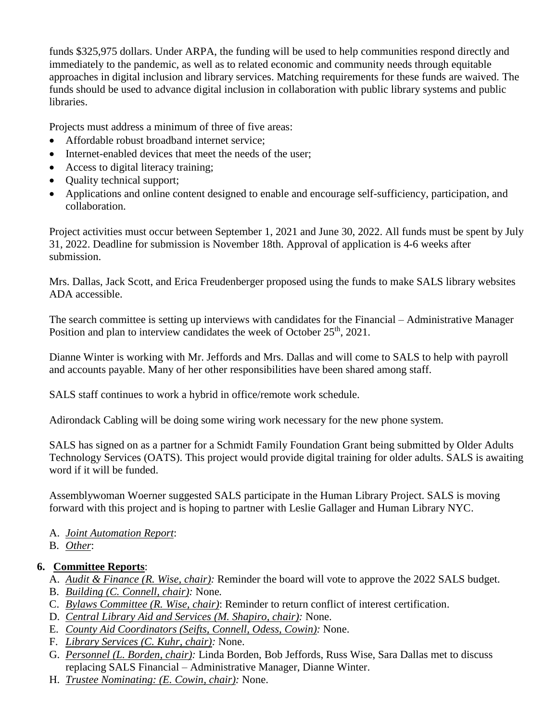funds \$325,975 dollars. Under ARPA, the funding will be used to help communities respond directly and immediately to the pandemic, as well as to related economic and community needs through equitable approaches in digital inclusion and library services. Matching requirements for these funds are waived. The funds should be used to advance digital inclusion in collaboration with public library systems and public libraries.

Projects must address a minimum of three of five areas:

- Affordable robust broadband internet service;
- Internet-enabled devices that meet the needs of the user:
- Access to digital literacy training;
- Quality technical support;
- Applications and online content designed to enable and encourage self-sufficiency, participation, and collaboration.

Project activities must occur between September 1, 2021 and June 30, 2022. All funds must be spent by July 31, 2022. Deadline for submission is November 18th. Approval of application is 4-6 weeks after submission.

Mrs. Dallas, Jack Scott, and Erica Freudenberger proposed using the funds to make SALS library websites ADA accessible.

The search committee is setting up interviews with candidates for the Financial – Administrative Manager Position and plan to interview candidates the week of October 25<sup>th</sup>, 2021.

Dianne Winter is working with Mr. Jeffords and Mrs. Dallas and will come to SALS to help with payroll and accounts payable. Many of her other responsibilities have been shared among staff.

SALS staff continues to work a hybrid in office/remote work schedule.

Adirondack Cabling will be doing some wiring work necessary for the new phone system.

SALS has signed on as a partner for a Schmidt Family Foundation Grant being submitted by Older Adults Technology Services (OATS). This project would provide digital training for older adults. SALS is awaiting word if it will be funded.

Assemblywoman Woerner suggested SALS participate in the Human Library Project. SALS is moving forward with this project and is hoping to partner with Leslie Gallager and Human Library NYC.

- A. *Joint Automation Report*:
- B. *Other*:

## **6. Committee Reports**:

- A. *Audit & Finance (R. Wise, chair):* Reminder the board will vote to approve the 2022 SALS budget.
- B. *Building (C. Connell, chair):* None*.*
- C. *Bylaws Committee (R. Wise, chair)*: Reminder to return conflict of interest certification.
- D. *Central Library Aid and Services (M. Shapiro, chair):* None.
- E. *County Aid Coordinators (Seifts, Connell, Odess, Cowin):* None.
- F. *Library Services (C. Kuhr, chair):* None.
- G. *Personnel (L. Borden, chair):* Linda Borden, Bob Jeffords, Russ Wise, Sara Dallas met to discuss replacing SALS Financial – Administrative Manager, Dianne Winter.
- H. *Trustee Nominating: (E. Cowin, chair):* None.